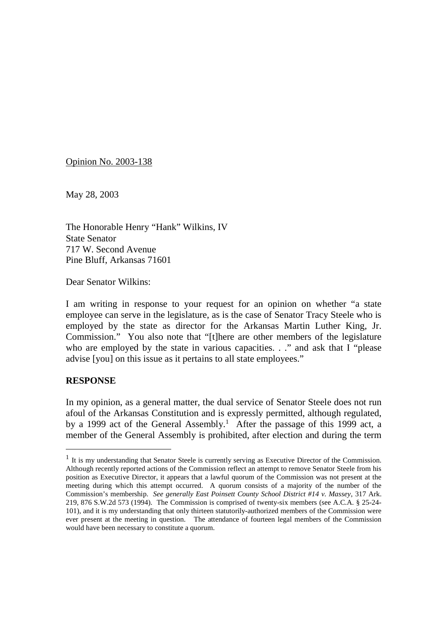Opinion No. 2003-138

May 28, 2003

The Honorable Henry "Hank" Wilkins, IV State Senator 717 W. Second Avenue Pine Bluff, Arkansas 71601

Dear Senator Wilkins:

I am writing in response to your request for an opinion on whether "a state employee can serve in the legislature, as is the case of Senator Tracy Steele who is employed by the state as director for the Arkansas Martin Luther King, Jr. Commission." You also note that "[t]here are other members of the legislature who are employed by the state in various capacities. . ." and ask that I "please advise [you] on this issue as it pertains to all state employees."

## **RESPONSE**

In my opinion, as a general matter, the dual service of Senator Steele does not run afoul of the Arkansas Constitution and is expressly permitted, although regulated, by a 1999 act of the General Assembly.<sup>1</sup> After the passage of this 1999 act, a member of the General Assembly is prohibited, after election and during the term

<sup>&</sup>lt;sup>1</sup> It is my understanding that Senator Steele is currently serving as Executive Director of the Commission. Although recently reported actions of the Commission reflect an attempt to remove Senator Steele from his position as Executive Director, it appears that a lawful quorum of the Commission was not present at the meeting during which this attempt occurred. A quorum consists of a majority of the number of the Commission's membership. *See generally East Poinsett County School District #14 v. Massey*, 317 Ark. 219, 876 S.W.2d 573 (1994). The Commission is comprised of twenty-six members (see A.C.A. § 25-24- 101), and it is my understanding that only thirteen statutorily-authorized members of the Commission were ever present at the meeting in question. The attendance of fourteen legal members of the Commission would have been necessary to constitute a quorum.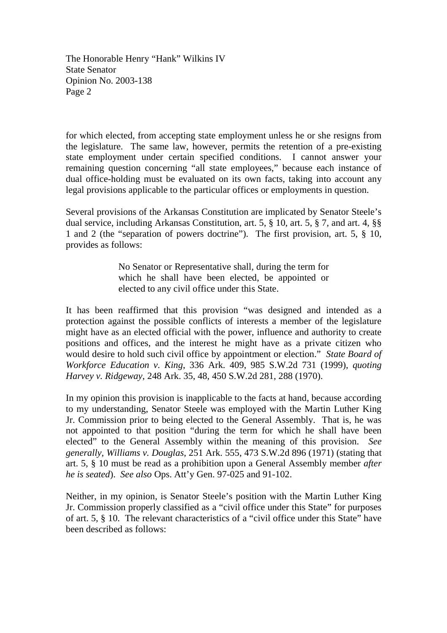for which elected, from accepting state employment unless he or she resigns from the legislature. The same law, however, permits the retention of a pre-existing state employment under certain specified conditions. I cannot answer your remaining question concerning "all state employees," because each instance of dual office-holding must be evaluated on its own facts, taking into account any legal provisions applicable to the particular offices or employments in question.

Several provisions of the Arkansas Constitution are implicated by Senator Steele's dual service, including Arkansas Constitution, art. 5, § 10, art. 5, § 7, and art. 4, §§ 1 and 2 (the "separation of powers doctrine"). The first provision, art. 5, § 10, provides as follows:

> No Senator or Representative shall, during the term for which he shall have been elected, be appointed or elected to any civil office under this State.

It has been reaffirmed that this provision "was designed and intended as a protection against the possible conflicts of interests a member of the legislature might have as an elected official with the power, influence and authority to create positions and offices, and the interest he might have as a private citizen who would desire to hold such civil office by appointment or election." *State Board of Workforce Education v. King*, 336 Ark. 409, 985 S.W.2d 731 (1999), *quoting Harvey v. Ridgeway*, 248 Ark. 35, 48, 450 S.W.2d 281, 288 (1970).

In my opinion this provision is inapplicable to the facts at hand, because according to my understanding, Senator Steele was employed with the Martin Luther King Jr. Commission prior to being elected to the General Assembly. That is, he was not appointed to that position "during the term for which he shall have been elected" to the General Assembly within the meaning of this provision. *See generally, Williams v. Douglas*, 251 Ark. 555, 473 S.W.2d 896 (1971) (stating that art. 5, § 10 must be read as a prohibition upon a General Assembly member *after he is seated*). *See also* Ops. Att'y Gen. 97-025 and 91-102.

Neither, in my opinion, is Senator Steele's position with the Martin Luther King Jr. Commission properly classified as a "civil office under this State" for purposes of art. 5, § 10. The relevant characteristics of a "civil office under this State" have been described as follows: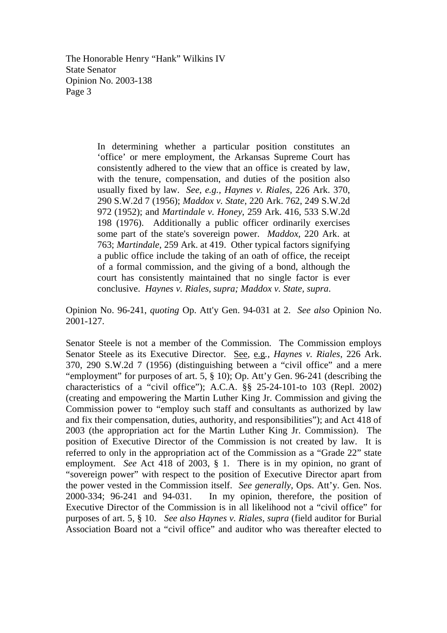> In determining whether a particular position constitutes an 'office' or mere employment, the Arkansas Supreme Court has consistently adhered to the view that an office is created by law, with the tenure, compensation, and duties of the position also usually fixed by law. *See, e.g., Haynes v. Riales*, 226 Ark. 370, 290 S.W.2d 7 (1956); *Maddox v. State*, 220 Ark. 762, 249 S.W.2d 972 (1952); and *Martindale v. Honey*, 259 Ark. 416, 533 S.W.2d 198 (1976). Additionally a public officer ordinarily exercises some part of the state's sovereign power. *Maddox,* 220 Ark. at 763; *Martindale*, 259 Ark. at 419. Other typical factors signifying a public office include the taking of an oath of office, the receipt of a formal commission, and the giving of a bond, although the court has consistently maintained that no single factor is ever conclusive. *Haynes v. Riales, supra; Maddox v. State, supra*.

Opinion No. 96-241, *quoting* Op. Att'y Gen. 94-031 at 2. *See also* Opinion No. 2001-127.

Senator Steele is not a member of the Commission. The Commission employs Senator Steele as its Executive Director. See*,* e.g*., Haynes v. Riales*, 226 Ark. 370, 290 S.W.2d 7 (1956) (distinguishing between a "civil office" and a mere "employment" for purposes of art. 5, § 10); Op. Att'y Gen. 96-241 (describing the characteristics of a "civil office"); A.C.A. §§ 25-24-101-to 103 (Repl. 2002) (creating and empowering the Martin Luther King Jr. Commission and giving the Commission power to "employ such staff and consultants as authorized by law and fix their compensation, duties, authority, and responsibilities"); and Act 418 of 2003 (the appropriation act for the Martin Luther King Jr. Commission). The position of Executive Director of the Commission is not created by law. It is referred to only in the appropriation act of the Commission as a "Grade 22" state employment. *See* Act 418 of 2003, § 1. There is in my opinion, no grant of "sovereign power" with respect to the position of Executive Director apart from the power vested in the Commission itself. *See generally*, Ops. Att'y. Gen. Nos. 2000-334; 96-241 and 94-031. In my opinion, therefore, the position of Executive Director of the Commission is in all likelihood not a "civil office" for purposes of art. 5, § 10. *See also Haynes v. Riales, supra* (field auditor for Burial Association Board not a "civil office" and auditor who was thereafter elected to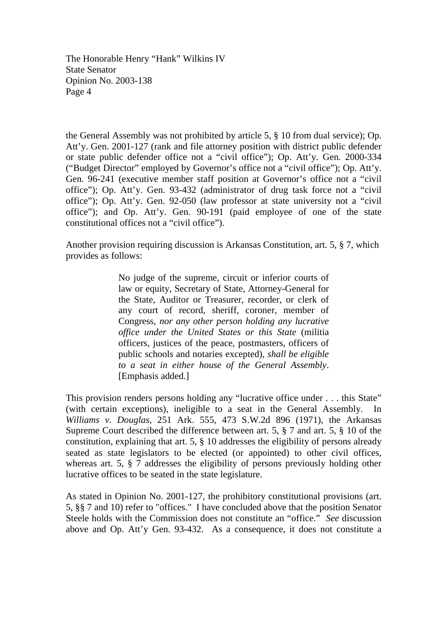the General Assembly was not prohibited by article 5, § 10 from dual service); Op. Att'y. Gen. 2001-127 (rank and file attorney position with district public defender or state public defender office not a "civil office"); Op. Att'y. Gen. 2000-334 ("Budget Director" employed by Governor's office not a "civil office"); Op. Att'y. Gen. 96-241 (executive member staff position at Governor's office not a "civil office"); Op. Att'y. Gen. 93-432 (administrator of drug task force not a "civil office"); Op. Att'y. Gen. 92-050 (law professor at state university not a "civil office"); and Op. Att'y. Gen. 90-191 (paid employee of one of the state constitutional offices not a "civil office").

Another provision requiring discussion is Arkansas Constitution, art. 5, § 7, which provides as follows:

> No judge of the supreme, circuit or inferior courts of law or equity, Secretary of State, Attorney-General for the State, Auditor or Treasurer, recorder, or clerk of any court of record, sheriff, coroner, member of Congress, *nor any other person holding any lucrative office under the United States or this State* (militia officers, justices of the peace, postmasters, officers of public schools and notaries excepted), *shall be eligible to a seat in either house of the General Assembly*. [Emphasis added.]

This provision renders persons holding any "lucrative office under . . . this State" (with certain exceptions), ineligible to a seat in the General Assembly. In *Williams v. Douglas*, 251 Ark. 555, 473 S.W.2d 896 (1971), the Arkansas Supreme Court described the difference between art. 5, § 7 and art. 5, § 10 of the constitution, explaining that art. 5, § 10 addresses the eligibility of persons already seated as state legislators to be elected (or appointed) to other civil offices, whereas art. 5, § 7 addresses the eligibility of persons previously holding other lucrative offices to be seated in the state legislature.

As stated in Opinion No. 2001-127, the prohibitory constitutional provisions (art. 5, §§ 7 and 10) refer to "offices." I have concluded above that the position Senator Steele holds with the Commission does not constitute an "office." *See* discussion above and Op. Att'y Gen. 93-432. As a consequence, it does not constitute a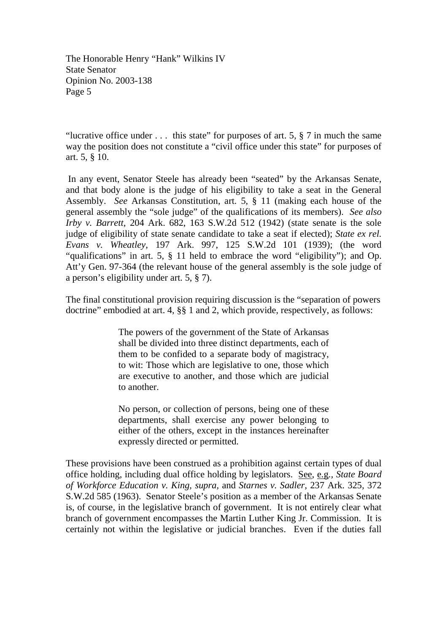"lucrative office under  $\dots$  this state" for purposes of art. 5, § 7 in much the same way the position does not constitute a "civil office under this state" for purposes of art. 5, § 10.

In any event, Senator Steele has already been "seated" by the Arkansas Senate, and that body alone is the judge of his eligibility to take a seat in the General Assembly. *See* Arkansas Constitution, art. 5, § 11 (making each house of the general assembly the "sole judge" of the qualifications of its members). *See also Irby v. Barrett*, 204 Ark. 682, 163 S.W.2d 512 (1942) (state senate is the sole judge of eligibility of state senate candidate to take a seat if elected); *State ex rel. Evans v. Wheatley*, 197 Ark. 997, 125 S.W.2d 101 (1939); (the word "qualifications" in art. 5, § 11 held to embrace the word "eligibility"); and Op. Att'y Gen. 97-364 (the relevant house of the general assembly is the sole judge of a person's eligibility under art. 5, § 7).

The final constitutional provision requiring discussion is the "separation of powers doctrine" embodied at art. 4, §§ 1 and 2, which provide, respectively, as follows:

> The powers of the government of the State of Arkansas shall be divided into three distinct departments, each of them to be confided to a separate body of magistracy, to wit: Those which are legislative to one, those which are executive to another, and those which are judicial to another.

> No person, or collection of persons, being one of these departments, shall exercise any power belonging to either of the others, except in the instances hereinafter expressly directed or permitted.

These provisions have been construed as a prohibition against certain types of dual office holding, including dual office holding by legislators. See, e.g*., State Board of Workforce Education v. King, supra,* and *Starnes v. Sadler,* 237 Ark. 325, 372 S.W.2d 585 (1963). Senator Steele's position as a member of the Arkansas Senate is, of course, in the legislative branch of government. It is not entirely clear what branch of government encompasses the Martin Luther King Jr. Commission. It is certainly not within the legislative or judicial branches. Even if the duties fall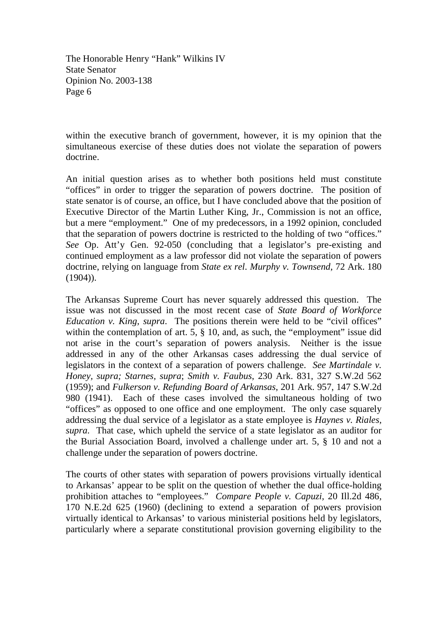within the executive branch of government, however, it is my opinion that the simultaneous exercise of these duties does not violate the separation of powers doctrine.

An initial question arises as to whether both positions held must constitute "offices" in order to trigger the separation of powers doctrine. The position of state senator is of course, an office, but I have concluded above that the position of Executive Director of the Martin Luther King, Jr., Commission is not an office, but a mere "employment." One of my predecessors, in a 1992 opinion, concluded that the separation of powers doctrine is restricted to the holding of two "offices." *See* Op. Att'y Gen. 92-050 (concluding that a legislator's pre-existing and continued employment as a law professor did not violate the separation of powers doctrine, relying on language from *State ex rel. Murphy v. Townsend*, 72 Ark. 180  $(1904)$ ).

The Arkansas Supreme Court has never squarely addressed this question. The issue was not discussed in the most recent case of *State Board of Workforce Education v. King, supra*. The positions therein were held to be "civil offices" within the contemplation of art. 5,  $\S$  10, and, as such, the "employment" issue did not arise in the court's separation of powers analysis. Neither is the issue addressed in any of the other Arkansas cases addressing the dual service of legislators in the context of a separation of powers challenge. *See Martindale v. Honey, supra; Starnes, supra*; *Smith v. Faubus*, 230 Ark. 831, 327 S.W.2d 562 (1959); and *Fulkerson v. Refunding Board of Arkansas*, 201 Ark. 957, 147 S.W.2d 980 (1941). Each of these cases involved the simultaneous holding of two "offices" as opposed to one office and one employment. The only case squarely addressing the dual service of a legislator as a state employee is *Haynes v. Riales, supra*. That case, which upheld the service of a state legislator as an auditor for the Burial Association Board, involved a challenge under art. 5, § 10 and not a challenge under the separation of powers doctrine.

The courts of other states with separation of powers provisions virtually identical to Arkansas' appear to be split on the question of whether the dual office-holding prohibition attaches to "employees." *Compare People v. Capuzi,* 20 Ill.2d 486, 170 N.E.2d 625 (1960) (declining to extend a separation of powers provision virtually identical to Arkansas' to various ministerial positions held by legislators, particularly where a separate constitutional provision governing eligibility to the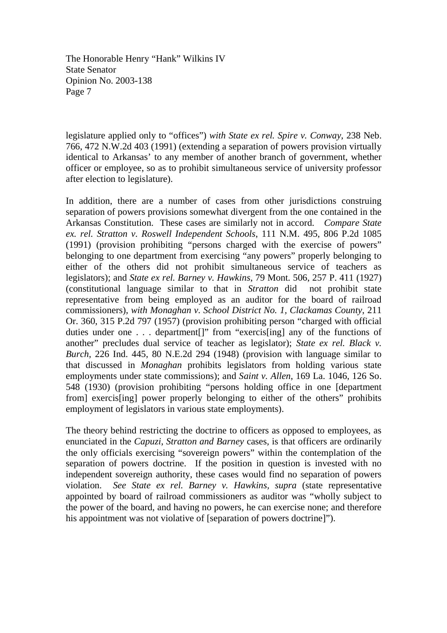legislature applied only to "offices") *with State ex rel. Spire v. Conway*, 238 Neb. 766, 472 N.W.2d 403 (1991) (extending a separation of powers provision virtually identical to Arkansas' to any member of another branch of government, whether officer or employee, so as to prohibit simultaneous service of university professor after election to legislature).

In addition, there are a number of cases from other jurisdictions construing separation of powers provisions somewhat divergent from the one contained in the Arkansas Constitution. These cases are similarly not in accord. *Compare State ex. rel. Stratton v. Roswell Independent Schools*, 111 N.M. 495, 806 P.2d 1085 (1991) (provision prohibiting "persons charged with the exercise of powers" belonging to one department from exercising "any powers" properly belonging to either of the others did not prohibit simultaneous service of teachers as legislators); and *State ex rel. Barney v. Hawkins*, 79 Mont. 506, 257 P. 411 (1927) (constitutional language similar to that in *Stratton* did not prohibit state representative from being employed as an auditor for the board of railroad commissioners), *with Monaghan v. School District No. 1, Clackamas County*, 211 Or. 360, 315 P.2d 797 (1957) (provision prohibiting person "charged with official duties under one . . . department<sup>[]"</sup> from "exercis<sup>[ing]</sup> any of the functions of another" precludes dual service of teacher as legislator); *State ex rel. Black v. Burch*, 226 Ind. 445, 80 N.E.2d 294 (1948) (provision with language similar to that discussed in *Monaghan* prohibits legislators from holding various state employments under state commissions); and *Saint v. Allen*, 169 La. 1046, 126 So. 548 (1930) (provision prohibiting "persons holding office in one [department from] exercis[ing] power properly belonging to either of the others" prohibits employment of legislators in various state employments).

The theory behind restricting the doctrine to officers as opposed to employees, as enunciated in the *Capuzi*, *Stratton and Barney* cases*,* is that officers are ordinarily the only officials exercising "sovereign powers" within the contemplation of the separation of powers doctrine. If the position in question is invested with no independent sovereign authority, these cases would find no separation of powers violation. *See State ex rel. Barney v. Hawkins, supra* (state representative appointed by board of railroad commissioners as auditor was "wholly subject to the power of the board, and having no powers, he can exercise none; and therefore his appointment was not violative of [separation of powers doctrine]").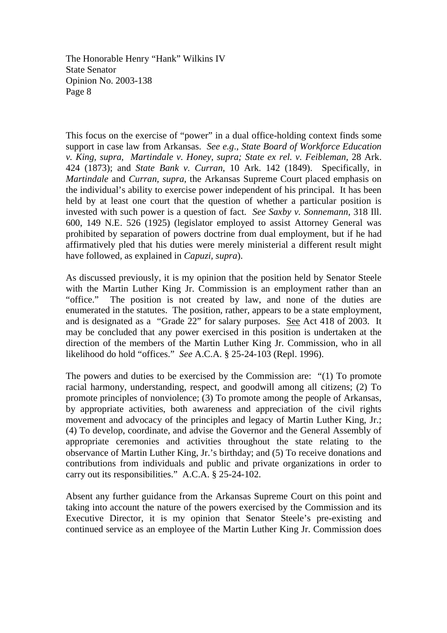This focus on the exercise of "power" in a dual office-holding context finds some support in case law from Arkansas. *See e.g*., *State Board of Workforce Education v. King, supra, Martindale v. Honey, supra; State ex rel. v. Feibleman*, 28 Ark. 424 (1873); and *State Bank v. Curran*, 10 Ark. 142 (1849). Specifically, in *Martindale* and *Curran, supra*, the Arkansas Supreme Court placed emphasis on the individual's ability to exercise power independent of his principal. It has been held by at least one court that the question of whether a particular position is invested with such power is a question of fact. *See Saxby v. Sonnemann*, 318 Ill. 600, 149 N.E. 526 (1925) (legislator employed to assist Attorney General was prohibited by separation of powers doctrine from dual employment, but if he had affirmatively pled that his duties were merely ministerial a different result might have followed, as explained in *Capuzi, supra*).

As discussed previously, it is my opinion that the position held by Senator Steele with the Martin Luther King Jr. Commission is an employment rather than an "office." The position is not created by law, and none of the duties are enumerated in the statutes. The position, rather, appears to be a state employment, and is designated as a "Grade 22" for salary purposes. See Act 418 of 2003. It may be concluded that any power exercised in this position is undertaken at the direction of the members of the Martin Luther King Jr. Commission, who in all likelihood do hold "offices." *See* A.C.A. § 25-24-103 (Repl. 1996).

The powers and duties to be exercised by the Commission are: "(1) To promote racial harmony, understanding, respect, and goodwill among all citizens; (2) To promote principles of nonviolence; (3) To promote among the people of Arkansas, by appropriate activities, both awareness and appreciation of the civil rights movement and advocacy of the principles and legacy of Martin Luther King, Jr.; (4) To develop, coordinate, and advise the Governor and the General Assembly of appropriate ceremonies and activities throughout the state relating to the observance of Martin Luther King, Jr.'s birthday; and (5) To receive donations and contributions from individuals and public and private organizations in order to carry out its responsibilities." A.C.A. § 25-24-102.

Absent any further guidance from the Arkansas Supreme Court on this point and taking into account the nature of the powers exercised by the Commission and its Executive Director, it is my opinion that Senator Steele's pre-existing and continued service as an employee of the Martin Luther King Jr. Commission does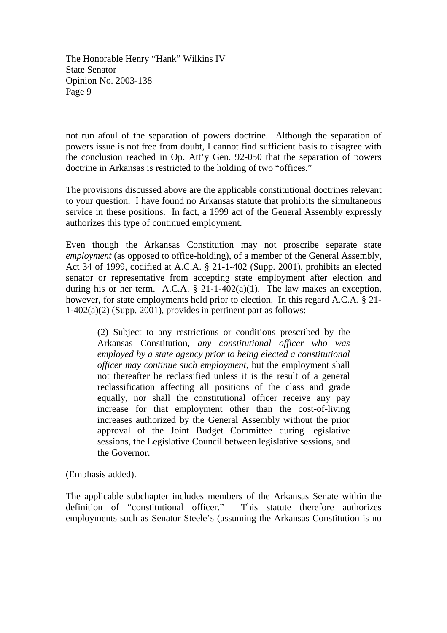not run afoul of the separation of powers doctrine. Although the separation of powers issue is not free from doubt, I cannot find sufficient basis to disagree with the conclusion reached in Op. Att'y Gen. 92-050 that the separation of powers doctrine in Arkansas is restricted to the holding of two "offices."

The provisions discussed above are the applicable constitutional doctrines relevant to your question. I have found no Arkansas statute that prohibits the simultaneous service in these positions. In fact, a 1999 act of the General Assembly expressly authorizes this type of continued employment.

Even though the Arkansas Constitution may not proscribe separate state *employment* (as opposed to office-holding), of a member of the General Assembly, Act 34 of 1999, codified at A.C.A. § 21-1-402 (Supp. 2001), prohibits an elected senator or representative from accepting state employment after election and during his or her term. A.C.A.  $\S$  21-1-402(a)(1). The law makes an exception, however, for state employments held prior to election. In this regard A.C.A. § 21- 1-402(a)(2) (Supp. 2001), provides in pertinent part as follows:

(2) Subject to any restrictions or conditions prescribed by the Arkansas Constitution, *any constitutional officer who was employed by a state agency prior to being elected a constitutional officer may continue such employment*, but the employment shall not thereafter be reclassified unless it is the result of a general reclassification affecting all positions of the class and grade equally, nor shall the constitutional officer receive any pay increase for that employment other than the cost-of-living increases authorized by the General Assembly without the prior approval of the Joint Budget Committee during legislative sessions, the Legislative Council between legislative sessions, and the Governor.

(Emphasis added).

The applicable subchapter includes members of the Arkansas Senate within the definition of "constitutional officer." This statute therefore authorizes employments such as Senator Steele's (assuming the Arkansas Constitution is no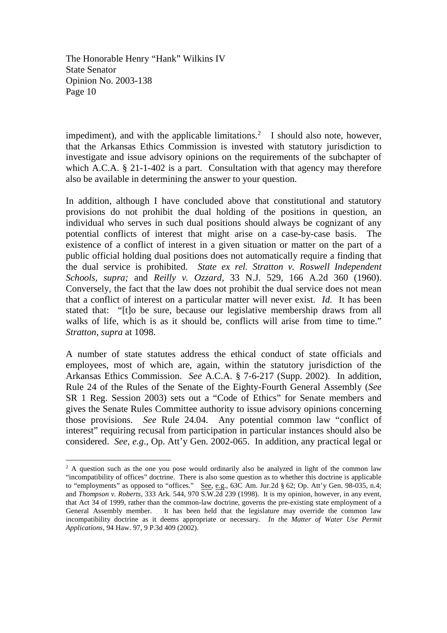impediment), and with the applicable limitations.<sup>2</sup> I should also note, however, that the Arkansas Ethics Commission is invested with statutory jurisdiction to investigate and issue advisory opinions on the requirements of the subchapter of which A.C.A. § 21-1-402 is a part. Consultation with that agency may therefore also be available in determining the answer to your question.

In addition, although I have concluded above that constitutional and statutory provisions do not prohibit the dual holding of the positions in question, an individual who serves in such dual positions should always be cognizant of any potential conflicts of interest that might arise on a case-by-case basis. The existence of a conflict of interest in a given situation or matter on the part of a public official holding dual positions does not automatically require a finding that the dual service is prohibited. *State ex rel. Stratton v. Roswell Independent Schools, supra;* and *Reilly v. Ozzard,* 33 N.J. 529, 166 A.2d 360 (1960). Conversely, the fact that the law does not prohibit the dual service does not mean that a conflict of interest on a particular matter will never exist. *Id.* It has been stated that: "[t]o be sure, because our legislative membership draws from all walks of life, which is as it should be, conflicts will arise from time to time." *Stratton, supra* at 1098.

A number of state statutes address the ethical conduct of state officials and employees, most of which are, again, within the statutory jurisdiction of the Arkansas Ethics Commission. *See* A.C.A. § 7-6-217 (Supp. 2002). In addition, Rule 24 of the Rules of the Senate of the Eighty-Fourth General Assembly (*See* SR 1 Reg. Session 2003) sets out a "Code of Ethics" for Senate members and gives the Senate Rules Committee authority to issue advisory opinions concerning those provisions. *See* Rule 24.04. Any potential common law "conflict of interest" requiring recusal from participation in particular instances should also be considered. *See, e.g*., Op. Att'y Gen. 2002-065. In addition, any practical legal or

<sup>&</sup>lt;sup>2</sup> A question such as the one you pose would ordinarily also be analyzed in light of the common law "incompatibility of offices" doctrine. There is also some question as to whether this doctrine is applicable to "employments" as opposed to "offices." See, e.g., 63C Am. Jur.2d § 62; Op. Att'y Gen. 98-035, n.4; and *Thompson v. Roberts*, 333 Ark. 544, 970 S.W.2d 239 (1998). It is my opinion, however, in any event, that Act 34 of 1999, rather than the common-law doctrine, governs the pre-existing state employment of a General Assembly member. It has been held that the legislature may override the common law incompatibility doctrine as it deems appropriate or necessary. *In the Matter of Water Use Permit Applications*, 94 Haw. 97, 9 P.3d 409 (2002).